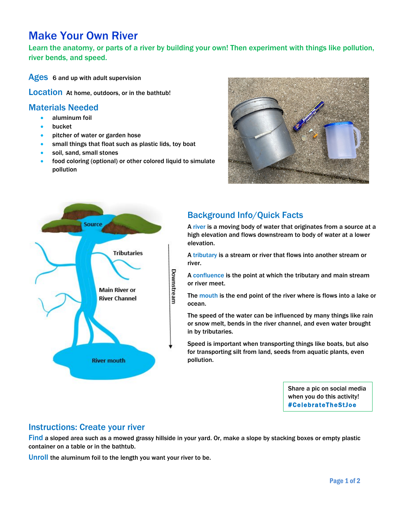# Make Your Own River

Learn the anatomy, or parts of a river by building your own! Then experiment with things like pollution, river bends, and speed.

Ages 6 and up with adult supervision

Location At home, outdoors, or in the bathtub!

#### Materials Needed

- aluminum foil
- **bucket**
- pitcher of water or garden hose
- small things that float such as plastic lids, toy boat
- soil, sand, small stones
- food coloring (optional) or other colored liquid to simulate pollution





# Background Info/Quick Facts

A river is a moving body of water that originates from a source at a high elevation and flows downstream to body of water at a lower elevation.

A tributary is a stream or river that flows into another stream or river.

A confluence is the point at which the tributary and main stream or river meet.

The mouth is the end point of the river where is flows into a lake or ocean.

The speed of the water can be influenced by many things like rain or snow melt, bends in the river channel, and even water brought in by tributaries.

Speed is important when transporting things like boats, but also for transporting silt from land, seeds from aquatic plants, even pollution.

> Share a pic on social media when you do this activity! #CelebrateTheStJoe

#### Instructions: Create your river

Find a sloped area such as a mowed grassy hillside in your yard. Or, make a slope by stacking boxes or empty plastic container on a table or in the bathtub.

Unroll the aluminum foil to the length you want your river to be.